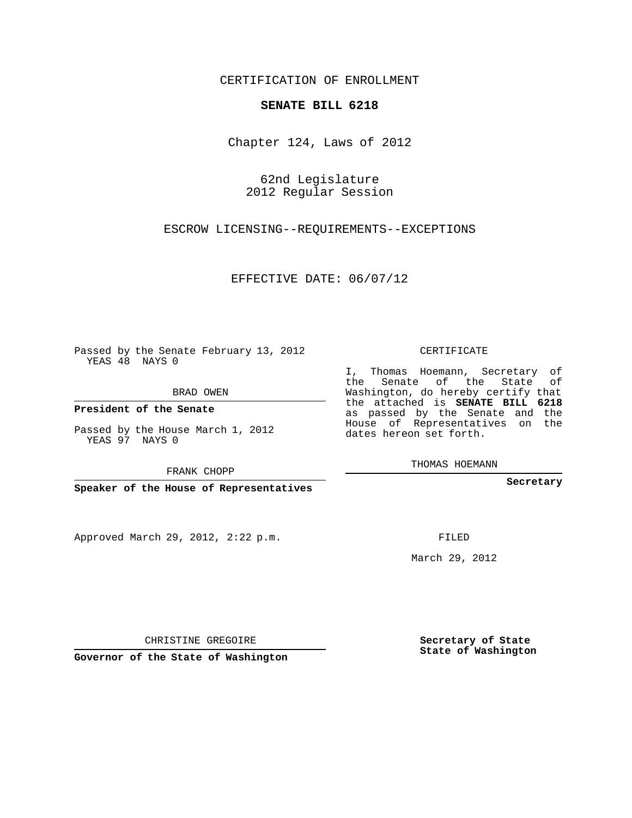## CERTIFICATION OF ENROLLMENT

## **SENATE BILL 6218**

Chapter 124, Laws of 2012

62nd Legislature 2012 Regular Session

ESCROW LICENSING--REQUIREMENTS--EXCEPTIONS

EFFECTIVE DATE: 06/07/12

Passed by the Senate February 13, 2012 YEAS 48 NAYS 0

BRAD OWEN

**President of the Senate**

Passed by the House March 1, 2012 YEAS 97 NAYS 0

FRANK CHOPP

**Speaker of the House of Representatives**

Approved March 29, 2012, 2:22 p.m.

CERTIFICATE

I, Thomas Hoemann, Secretary of the Senate of the State of Washington, do hereby certify that the attached is **SENATE BILL 6218** as passed by the Senate and the House of Representatives on the dates hereon set forth.

THOMAS HOEMANN

**Secretary**

FILED

March 29, 2012

**Secretary of State State of Washington**

CHRISTINE GREGOIRE

**Governor of the State of Washington**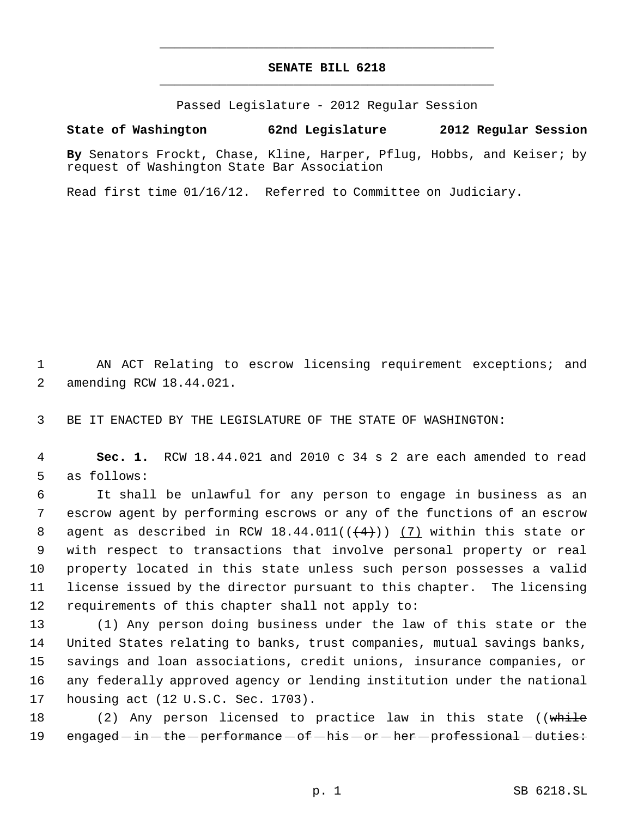## **SENATE BILL 6218** \_\_\_\_\_\_\_\_\_\_\_\_\_\_\_\_\_\_\_\_\_\_\_\_\_\_\_\_\_\_\_\_\_\_\_\_\_\_\_\_\_\_\_\_\_

\_\_\_\_\_\_\_\_\_\_\_\_\_\_\_\_\_\_\_\_\_\_\_\_\_\_\_\_\_\_\_\_\_\_\_\_\_\_\_\_\_\_\_\_\_

Passed Legislature - 2012 Regular Session

**State of Washington 62nd Legislature 2012 Regular Session**

**By** Senators Frockt, Chase, Kline, Harper, Pflug, Hobbs, and Keiser; by request of Washington State Bar Association

Read first time 01/16/12. Referred to Committee on Judiciary.

 AN ACT Relating to escrow licensing requirement exceptions; and amending RCW 18.44.021.

BE IT ENACTED BY THE LEGISLATURE OF THE STATE OF WASHINGTON:

 **Sec. 1.** RCW 18.44.021 and 2010 c 34 s 2 are each amended to read as follows:

 It shall be unlawful for any person to engage in business as an escrow agent by performing escrows or any of the functions of an escrow 8 agent as described in RCW  $18.44.011((\leftarrow 4))$  (7) within this state or with respect to transactions that involve personal property or real property located in this state unless such person possesses a valid license issued by the director pursuant to this chapter. The licensing requirements of this chapter shall not apply to:

 (1) Any person doing business under the law of this state or the United States relating to banks, trust companies, mutual savings banks, savings and loan associations, credit unions, insurance companies, or any federally approved agency or lending institution under the national housing act (12 U.S.C. Sec. 1703).

18 (2) Any person licensed to practice law in this state ((while  $engaged - in - the - performance - of - his - or - her - professional - duties:$